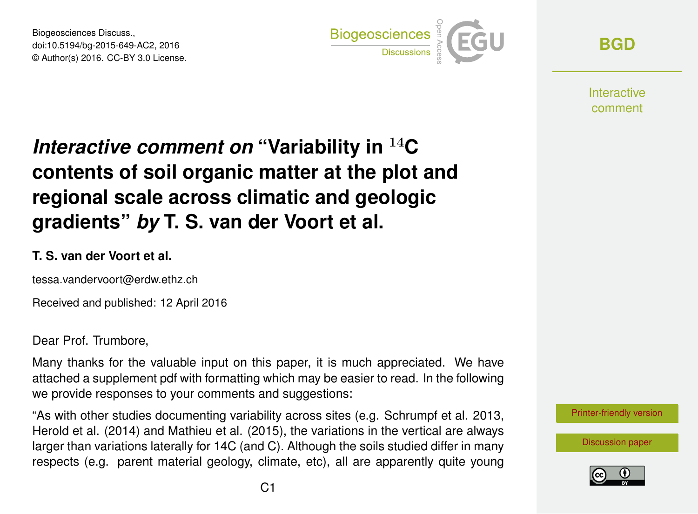Biogeosciences Discuss., doi:10.5194/bg-2015-649-AC2, 2016 © Author(s) 2016. CC-BY 3.0 License.



**[BGD](http://www.biogeosciences-discuss.net/)**

**Interactive** comment

# *Interactive comment on* **"Variability in** <sup>14</sup>**C contents of soil organic matter at the plot and regional scale across climatic and geologic gradients"** *by* **T. S. van der Voort et al.**

#### **T. S. van der Voort et al.**

tessa.vandervoort@erdw.ethz.ch

Received and published: 12 April 2016

Dear Prof. Trumbore,

Many thanks for the valuable input on this paper, it is much appreciated. We have attached a supplement pdf with formatting which may be easier to read. In the following we provide responses to your comments and suggestions:

"As with other studies documenting variability across sites (e.g. Schrumpf et al. 2013, Herold et al. (2014) and Mathieu et al. (2015), the variations in the vertical are always larger than variations laterally for 14C (and C). Although the soils studied differ in many respects (e.g. parent material geology, climate, etc), all are apparently quite young

[Printer-friendly version](http://www.biogeosciences-discuss.net/bg-2015-649/bg-2015-649-AC2-print.pdf)

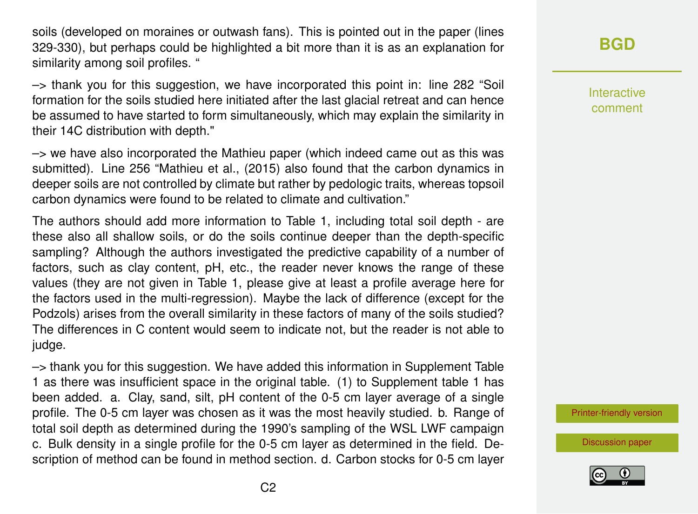soils (developed on moraines or outwash fans). This is pointed out in the paper (lines 329-330), but perhaps could be highlighted a bit more than it is as an explanation for similarity among soil profiles. "

–> thank you for this suggestion, we have incorporated this point in: line 282 "Soil formation for the soils studied here initiated after the last glacial retreat and can hence be assumed to have started to form simultaneously, which may explain the similarity in their 14C distribution with depth."

 $\rightarrow$  we have also incorporated the Mathieu paper (which indeed came out as this was submitted). Line 256 "Mathieu et al., (2015) also found that the carbon dynamics in deeper soils are not controlled by climate but rather by pedologic traits, whereas topsoil carbon dynamics were found to be related to climate and cultivation."

The authors should add more information to Table 1, including total soil depth - are these also all shallow soils, or do the soils continue deeper than the depth-specific sampling? Although the authors investigated the predictive capability of a number of factors, such as clay content, pH, etc., the reader never knows the range of these values (they are not given in Table 1, please give at least a profile average here for the factors used in the multi-regression). Maybe the lack of difference (except for the Podzols) arises from the overall similarity in these factors of many of the soils studied? The differences in C content would seem to indicate not, but the reader is not able to judge.

–> thank you for this suggestion. We have added this information in Supplement Table 1 as there was insufficient space in the original table. (1) to Supplement table 1 has been added. a. Clay, sand, silt, pH content of the 0-5 cm layer average of a single profile. The 0-5 cm layer was chosen as it was the most heavily studied. b. Range of total soil depth as determined during the 1990's sampling of the WSL LWF campaign c. Bulk density in a single profile for the 0-5 cm layer as determined in the field. Description of method can be found in method section. d. Carbon stocks for 0-5 cm layer

## **[BGD](http://www.biogeosciences-discuss.net/)**

Interactive comment

[Printer-friendly version](http://www.biogeosciences-discuss.net/bg-2015-649/bg-2015-649-AC2-print.pdf)

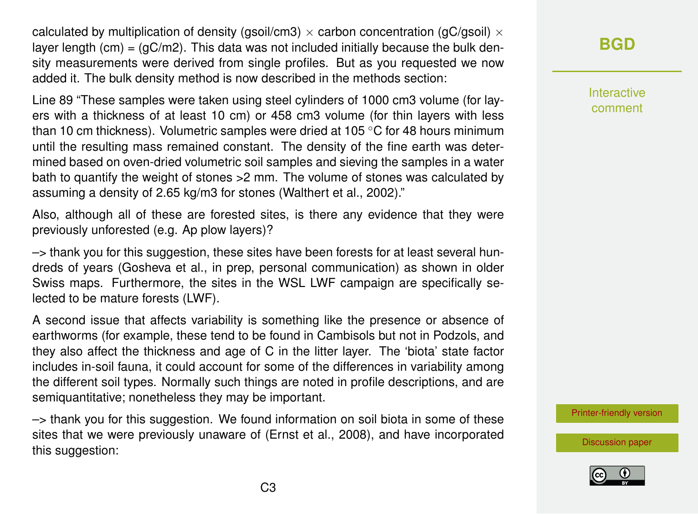calculated by multiplication of density (gsoil/cm3)  $\times$  carbon concentration (gC/gsoil)  $\times$ layer length (cm) =  $(qC/m2)$ . This data was not included initially because the bulk density measurements were derived from single profiles. But as you requested we now added it. The bulk density method is now described in the methods section:

Line 89 "These samples were taken using steel cylinders of 1000 cm3 volume (for layers with a thickness of at least 10 cm) or 458 cm3 volume (for thin layers with less than 10 cm thickness). Volumetric samples were dried at 105  $\degree$ C for 48 hours minimum until the resulting mass remained constant. The density of the fine earth was determined based on oven-dried volumetric soil samples and sieving the samples in a water bath to quantify the weight of stones >2 mm. The volume of stones was calculated by assuming a density of 2.65 kg/m3 for stones (Walthert et al., 2002)."

Also, although all of these are forested sites, is there any evidence that they were previously unforested (e.g. Ap plow layers)?

–> thank you for this suggestion, these sites have been forests for at least several hundreds of years (Gosheva et al., in prep, personal communication) as shown in older Swiss maps. Furthermore, the sites in the WSL LWF campaign are specifically selected to be mature forests (LWF).

A second issue that affects variability is something like the presence or absence of earthworms (for example, these tend to be found in Cambisols but not in Podzols, and they also affect the thickness and age of C in the litter layer. The 'biota' state factor includes in-soil fauna, it could account for some of the differences in variability among the different soil types. Normally such things are noted in profile descriptions, and are semiquantitative; nonetheless they may be important.

–> thank you for this suggestion. We found information on soil biota in some of these sites that we were previously unaware of (Ernst et al., 2008), and have incorporated this suggestion:

## **[BGD](http://www.biogeosciences-discuss.net/)**

Interactive comment

[Printer-friendly version](http://www.biogeosciences-discuss.net/bg-2015-649/bg-2015-649-AC2-print.pdf)

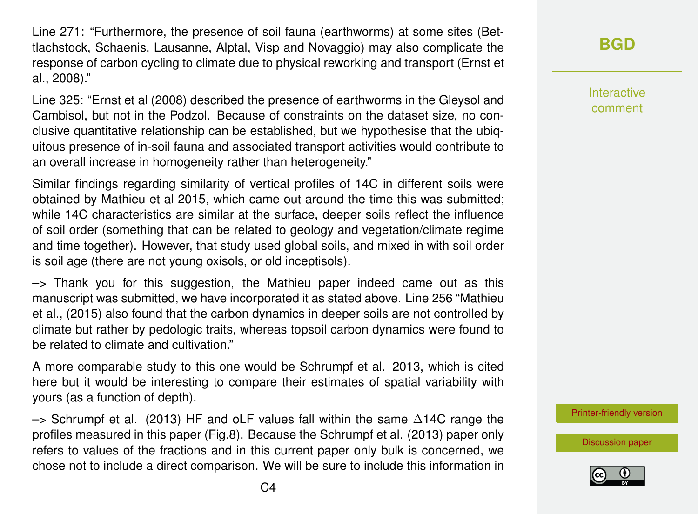Line 271: "Furthermore, the presence of soil fauna (earthworms) at some sites (Bettlachstock, Schaenis, Lausanne, Alptal, Visp and Novaggio) may also complicate the response of carbon cycling to climate due to physical reworking and transport (Ernst et al., 2008)."

Line 325: "Ernst et al (2008) described the presence of earthworms in the Gleysol and Cambisol, but not in the Podzol. Because of constraints on the dataset size, no conclusive quantitative relationship can be established, but we hypothesise that the ubiquitous presence of in-soil fauna and associated transport activities would contribute to an overall increase in homogeneity rather than heterogeneity."

Similar findings regarding similarity of vertical profiles of 14C in different soils were obtained by Mathieu et al 2015, which came out around the time this was submitted; while 14C characteristics are similar at the surface, deeper soils reflect the influence of soil order (something that can be related to geology and vegetation/climate regime and time together). However, that study used global soils, and mixed in with soil order is soil age (there are not young oxisols, or old inceptisols).

–> Thank you for this suggestion, the Mathieu paper indeed came out as this manuscript was submitted, we have incorporated it as stated above. Line 256 "Mathieu et al., (2015) also found that the carbon dynamics in deeper soils are not controlled by climate but rather by pedologic traits, whereas topsoil carbon dynamics were found to be related to climate and cultivation."

A more comparable study to this one would be Schrumpf et al. 2013, which is cited here but it would be interesting to compare their estimates of spatial variability with yours (as a function of depth).

 $\rightarrow$  Schrumpf et al. (2013) HF and oLF values fall within the same ∆14C range the profiles measured in this paper (Fig.8). Because the Schrumpf et al. (2013) paper only refers to values of the fractions and in this current paper only bulk is concerned, we chose not to include a direct comparison. We will be sure to include this information in **[BGD](http://www.biogeosciences-discuss.net/)**

Interactive comment

[Printer-friendly version](http://www.biogeosciences-discuss.net/bg-2015-649/bg-2015-649-AC2-print.pdf)

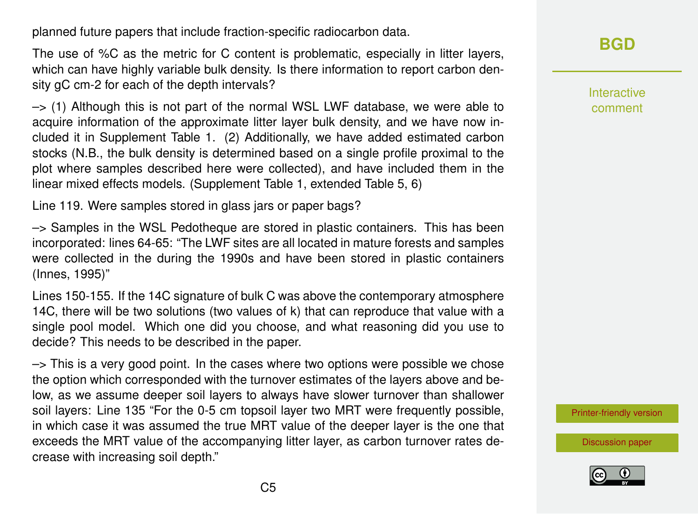planned future papers that include fraction-specific radiocarbon data.

The use of %C as the metric for C content is problematic, especially in litter layers, which can have highly variable bulk density. Is there information to report carbon density gC cm-2 for each of the depth intervals?

 $\rightarrow$  (1) Although this is not part of the normal WSL LWF database, we were able to acquire information of the approximate litter layer bulk density, and we have now included it in Supplement Table 1. (2) Additionally, we have added estimated carbon stocks (N.B., the bulk density is determined based on a single profile proximal to the plot where samples described here were collected), and have included them in the linear mixed effects models. (Supplement Table 1, extended Table 5, 6)

Line 119. Were samples stored in glass jars or paper bags?

 $\rightarrow$  Samples in the WSL Pedotheque are stored in plastic containers. This has been incorporated: lines 64-65: "The LWF sites are all located in mature forests and samples were collected in the during the 1990s and have been stored in plastic containers (Innes, 1995)"

Lines 150-155. If the 14C signature of bulk C was above the contemporary atmosphere 14C, there will be two solutions (two values of k) that can reproduce that value with a single pool model. Which one did you choose, and what reasoning did you use to decide? This needs to be described in the paper.

 $\rightarrow$  This is a very good point. In the cases where two options were possible we chose the option which corresponded with the turnover estimates of the layers above and below, as we assume deeper soil layers to always have slower turnover than shallower soil layers: Line 135 "For the 0-5 cm topsoil layer two MRT were frequently possible, in which case it was assumed the true MRT value of the deeper layer is the one that exceeds the MRT value of the accompanying litter layer, as carbon turnover rates decrease with increasing soil depth."

**[BGD](http://www.biogeosciences-discuss.net/)**

Interactive comment

[Printer-friendly version](http://www.biogeosciences-discuss.net/bg-2015-649/bg-2015-649-AC2-print.pdf)

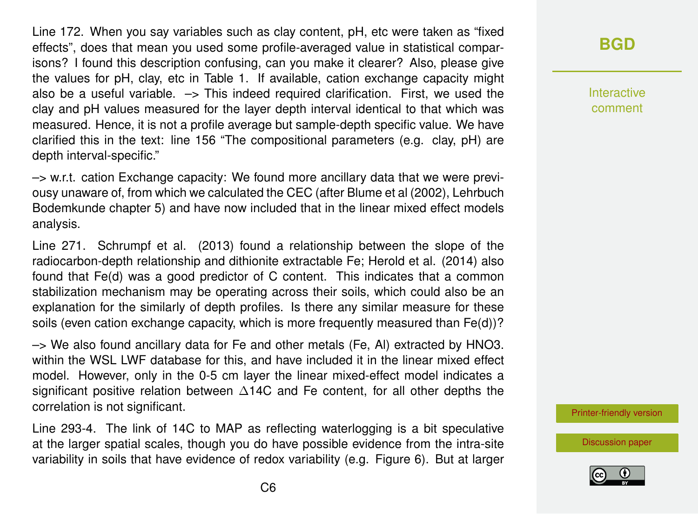Line 172. When you say variables such as clay content, pH, etc were taken as "fixed effects", does that mean you used some profile-averaged value in statistical comparisons? I found this description confusing, can you make it clearer? Also, please give the values for pH, clay, etc in Table 1. If available, cation exchange capacity might also be a useful variable.  $\rightarrow$  This indeed required clarification. First, we used the clay and pH values measured for the layer depth interval identical to that which was measured. Hence, it is not a profile average but sample-depth specific value. We have clarified this in the text: line 156 "The compositional parameters (e.g. clay, pH) are depth interval-specific."

–> w.r.t. cation Exchange capacity: We found more ancillary data that we were previousy unaware of, from which we calculated the CEC (after Blume et al (2002), Lehrbuch Bodemkunde chapter 5) and have now included that in the linear mixed effect models analysis.

Line 271. Schrumpf et al. (2013) found a relationship between the slope of the radiocarbon-depth relationship and dithionite extractable Fe; Herold et al. (2014) also found that Fe(d) was a good predictor of C content. This indicates that a common stabilization mechanism may be operating across their soils, which could also be an explanation for the similarly of depth profiles. Is there any similar measure for these soils (even cation exchange capacity, which is more frequently measured than Fe(d))?

–> We also found ancillary data for Fe and other metals (Fe, Al) extracted by HNO3. within the WSL LWF database for this, and have included it in the linear mixed effect model. However, only in the 0-5 cm layer the linear mixed-effect model indicates a significant positive relation between ∆14C and Fe content, for all other depths the correlation is not significant.

Line 293-4. The link of 14C to MAP as reflecting waterlogging is a bit speculative at the larger spatial scales, though you do have possible evidence from the intra-site variability in soils that have evidence of redox variability (e.g. Figure 6). But at larger

#### **[BGD](http://www.biogeosciences-discuss.net/)**

Interactive comment

[Printer-friendly version](http://www.biogeosciences-discuss.net/bg-2015-649/bg-2015-649-AC2-print.pdf)

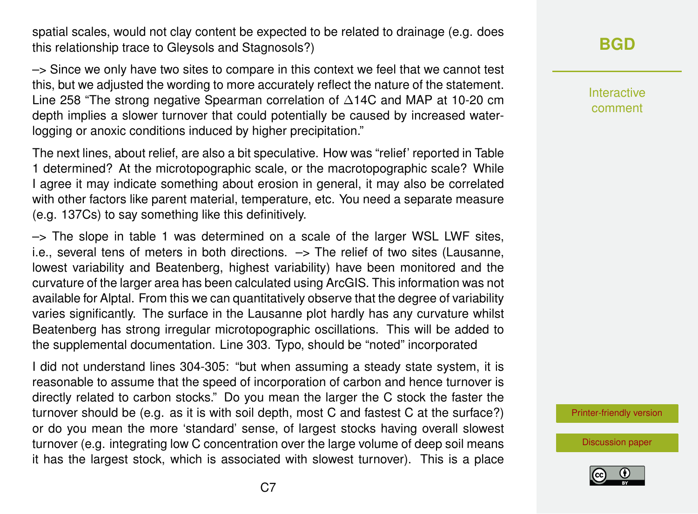spatial scales, would not clay content be expected to be related to drainage (e.g. does this relationship trace to Gleysols and Stagnosols?)

–> Since we only have two sites to compare in this context we feel that we cannot test this, but we adjusted the wording to more accurately reflect the nature of the statement. Line 258 "The strong negative Spearman correlation of ∆14C and MAP at 10-20 cm depth implies a slower turnover that could potentially be caused by increased waterlogging or anoxic conditions induced by higher precipitation."

The next lines, about relief, are also a bit speculative. How was "relief' reported in Table 1 determined? At the microtopographic scale, or the macrotopographic scale? While I agree it may indicate something about erosion in general, it may also be correlated with other factors like parent material, temperature, etc. You need a separate measure (e.g. 137Cs) to say something like this definitively.

 $\rightarrow$  The slope in table 1 was determined on a scale of the larger WSL LWF sites, i.e., several tens of meters in both directions. –> The relief of two sites (Lausanne, lowest variability and Beatenberg, highest variability) have been monitored and the curvature of the larger area has been calculated using ArcGIS. This information was not available for Alptal. From this we can quantitatively observe that the degree of variability varies significantly. The surface in the Lausanne plot hardly has any curvature whilst Beatenberg has strong irregular microtopographic oscillations. This will be added to the supplemental documentation. Line 303. Typo, should be "noted" incorporated

I did not understand lines 304-305: "but when assuming a steady state system, it is reasonable to assume that the speed of incorporation of carbon and hence turnover is directly related to carbon stocks." Do you mean the larger the C stock the faster the turnover should be (e.g. as it is with soil depth, most C and fastest C at the surface?) or do you mean the more 'standard' sense, of largest stocks having overall slowest turnover (e.g. integrating low C concentration over the large volume of deep soil means it has the largest stock, which is associated with slowest turnover). This is a place

## **[BGD](http://www.biogeosciences-discuss.net/)**

Interactive comment

[Printer-friendly version](http://www.biogeosciences-discuss.net/bg-2015-649/bg-2015-649-AC2-print.pdf)

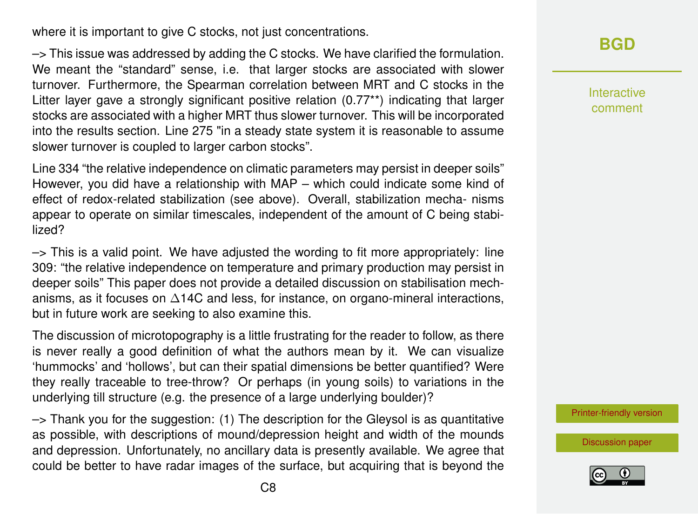where it is important to give C stocks, not just concentrations.

–> This issue was addressed by adding the C stocks. We have clarified the formulation. We meant the "standard" sense, i.e. that larger stocks are associated with slower turnover. Furthermore, the Spearman correlation between MRT and C stocks in the Litter layer gave a strongly significant positive relation (0.77\*\*) indicating that larger stocks are associated with a higher MRT thus slower turnover. This will be incorporated into the results section. Line 275 "in a steady state system it is reasonable to assume slower turnover is coupled to larger carbon stocks".

Line 334 "the relative independence on climatic parameters may persist in deeper soils" However, you did have a relationship with MAP – which could indicate some kind of effect of redox-related stabilization (see above). Overall, stabilization mecha- nisms appear to operate on similar timescales, independent of the amount of C being stabilized?

 $\rightarrow$  This is a valid point. We have adjusted the wording to fit more appropriately: line 309: "the relative independence on temperature and primary production may persist in deeper soils" This paper does not provide a detailed discussion on stabilisation mechanisms, as it focuses on ∆14C and less, for instance, on organo-mineral interactions, but in future work are seeking to also examine this.

The discussion of microtopography is a little frustrating for the reader to follow, as there is never really a good definition of what the authors mean by it. We can visualize 'hummocks' and 'hollows', but can their spatial dimensions be better quantified? Were they really traceable to tree-throw? Or perhaps (in young soils) to variations in the underlying till structure (e.g. the presence of a large underlying boulder)?

 $\rightarrow$  Thank you for the suggestion: (1) The description for the Gleysol is as quantitative as possible, with descriptions of mound/depression height and width of the mounds and depression. Unfortunately, no ancillary data is presently available. We agree that could be better to have radar images of the surface, but acquiring that is beyond the

**[BGD](http://www.biogeosciences-discuss.net/)**

Interactive comment

[Printer-friendly version](http://www.biogeosciences-discuss.net/bg-2015-649/bg-2015-649-AC2-print.pdf)

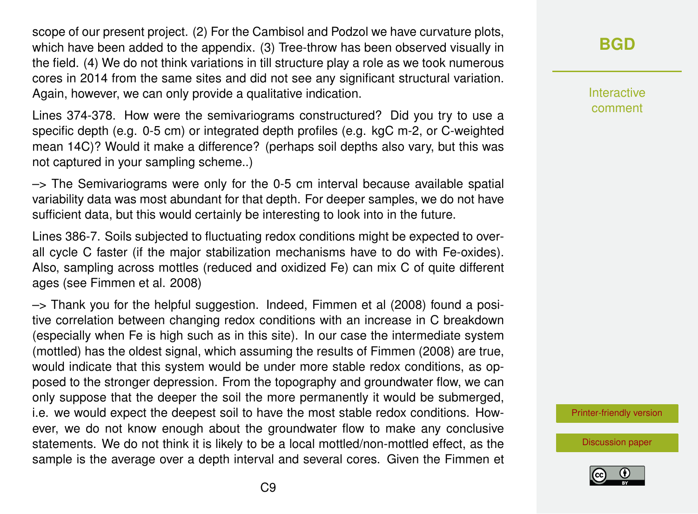scope of our present project. (2) For the Cambisol and Podzol we have curvature plots, which have been added to the appendix. (3) Tree-throw has been observed visually in the field. (4) We do not think variations in till structure play a role as we took numerous cores in 2014 from the same sites and did not see any significant structural variation. Again, however, we can only provide a qualitative indication.

Lines 374-378. How were the semivariograms constructured? Did you try to use a specific depth (e.g. 0-5 cm) or integrated depth profiles (e.g. kgC m-2, or C-weighted mean 14C)? Would it make a difference? (perhaps soil depths also vary, but this was not captured in your sampling scheme..)

 $\rightarrow$  The Semivariograms were only for the 0-5 cm interval because available spatial variability data was most abundant for that depth. For deeper samples, we do not have sufficient data, but this would certainly be interesting to look into in the future.

Lines 386-7. Soils subjected to fluctuating redox conditions might be expected to overall cycle C faster (if the major stabilization mechanisms have to do with Fe-oxides). Also, sampling across mottles (reduced and oxidized Fe) can mix C of quite different ages (see Fimmen et al. 2008)

–> Thank you for the helpful suggestion. Indeed, Fimmen et al (2008) found a positive correlation between changing redox conditions with an increase in C breakdown (especially when Fe is high such as in this site). In our case the intermediate system (mottled) has the oldest signal, which assuming the results of Fimmen (2008) are true, would indicate that this system would be under more stable redox conditions, as opposed to the stronger depression. From the topography and groundwater flow, we can only suppose that the deeper the soil the more permanently it would be submerged, i.e. we would expect the deepest soil to have the most stable redox conditions. However, we do not know enough about the groundwater flow to make any conclusive statements. We do not think it is likely to be a local mottled/non-mottled effect, as the sample is the average over a depth interval and several cores. Given the Fimmen et **[BGD](http://www.biogeosciences-discuss.net/)**

Interactive comment

[Printer-friendly version](http://www.biogeosciences-discuss.net/bg-2015-649/bg-2015-649-AC2-print.pdf)

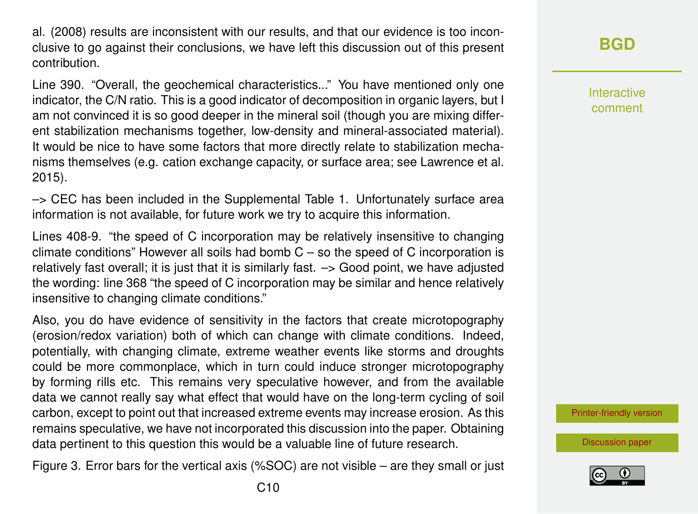al. (2008) results are inconsistent with our results, and that our evidence is too inconclusive to go against their conclusions, we have left this discussion out of this present contribution.

Line 390. "Overall, the geochemical characteristics..." You have mentioned only one indicator, the C/N ratio. This is a good indicator of decomposition in organic layers, but I am not convinced it is so good deeper in the mineral soil (though you are mixing different stabilization mechanisms together, low-density and mineral-associated material). It would be nice to have some factors that more directly relate to stabilization mechanisms themselves (e.g. cation exchange capacity, or surface area; see Lawrence et al. 2015).

–> CEC has been included in the Supplemental Table 1. Unfortunately surface area information is not available, for future work we try to acquire this information.

Lines 408-9. "the speed of C incorporation may be relatively insensitive to changing climate conditions" However all soils had bomb  $C - so$  the speed of C incorporation is relatively fast overall; it is just that it is similarly fast. –> Good point, we have adjusted the wording: line 368 "the speed of C incorporation may be similar and hence relatively insensitive to changing climate conditions."

Also, you do have evidence of sensitivity in the factors that create microtopography (erosion/redox variation) both of which can change with climate conditions. Indeed, potentially, with changing climate, extreme weather events like storms and droughts could be more commonplace, which in turn could induce stronger microtopography by forming rills etc. This remains very speculative however, and from the available data we cannot really say what effect that would have on the long-term cycling of soil carbon, except to point out that increased extreme events may increase erosion. As this remains speculative, we have not incorporated this discussion into the paper. Obtaining data pertinent to this question this would be a valuable line of future research.

Figure 3. Error bars for the vertical axis (%SOC) are not visible – are they small or just

**[BGD](http://www.biogeosciences-discuss.net/)**

Interactive comment

[Printer-friendly version](http://www.biogeosciences-discuss.net/bg-2015-649/bg-2015-649-AC2-print.pdf)